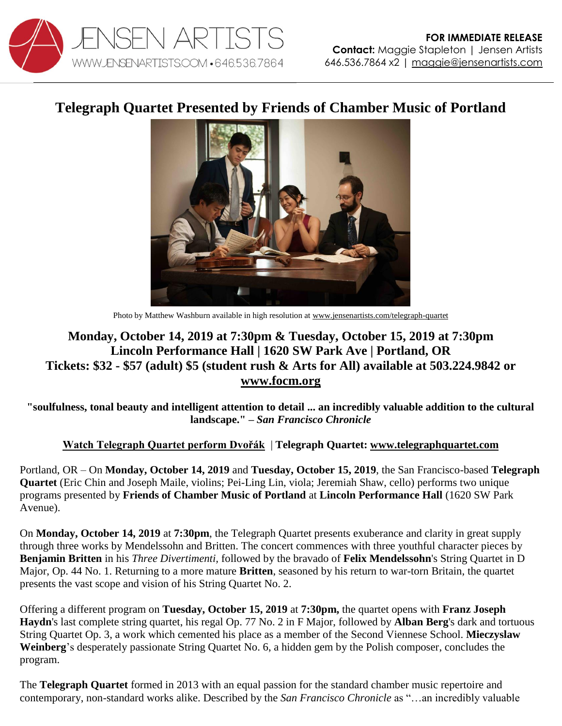

## **Telegraph Quartet Presented by Friends of Chamber Music of Portland**



Photo by Matthew Washburn available in high resolution a[t www.jensenartists.com/telegraph-quartet](http://www.jensenartists.com/telegraph-quartet)

## **Monday, October 14, 2019 at 7:30pm & Tuesday, October 15, 2019 at 7:30pm Lincoln Performance Hall | 1620 SW Park Ave | Portland, OR Tickets: \$32 - \$57 (adult) \$5 (student rush & Arts for All) available at 503.224.9842 or [www.focm.org](https://focm.org/concerts/2019-20-season/telegraph-quartet/5872/)**

**"soulfulness, tonal beauty and intelligent attention to detail ... an incredibly valuable addition to the cultural landscape." –** *San Francisco Chronicle*

## **[Watch Telegraph Quartet perform Dvořák](https://youtu.be/dgI4xUcPUZ8)** | **Telegraph Quartet: [www.telegraphquartet.com](http://www.telegraphquartet.com/)**

Portland, OR – On **Monday, October 14, 2019** and **Tuesday, October 15, 2019**, the San Francisco-based **Telegraph Quartet** (Eric Chin and Joseph Maile, violins; Pei-Ling Lin, viola; Jeremiah Shaw, cello) performs two unique programs presented by **Friends of Chamber Music of Portland** at **Lincoln Performance Hall** (1620 SW Park Avenue).

On **Monday, October 14, 2019** at **7:30pm**, the Telegraph Quartet presents exuberance and clarity in great supply through three works by Mendelssohn and Britten. The concert commences with three youthful character pieces by **Benjamin Britten** in his *Three Divertimenti,* followed by the bravado of **Felix Mendelssohn**'s String Quartet in D Major, Op. 44 No. 1. Returning to a more mature **Britten**, seasoned by his return to war-torn Britain, the quartet presents the vast scope and vision of his String Quartet No. 2.

Offering a different program on **Tuesday, October 15, 2019** at **7:30pm,** the quartet opens with **Franz Joseph Haydn**'s last complete string quartet, his regal Op. 77 No. 2 in F Major, followed by **Alban Berg**'s dark and tortuous String Quartet Op. 3, a work which cemented his place as a member of the Second Viennese School. **Mieczyslaw Weinberg**'s desperately passionate String Quartet No. 6, a hidden gem by the Polish composer, concludes the program.

The **Telegraph Quartet** formed in 2013 with an equal passion for the standard chamber music repertoire and contemporary, non-standard works alike. Described by the *San Francisco Chronicle* as "…an incredibly valuable